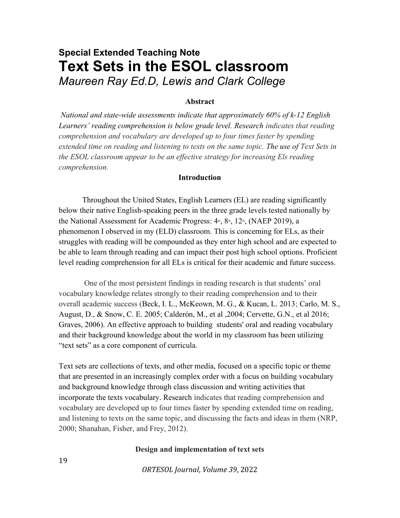# Special Extended Teaching Note Text Sets in the ESOL classroom Maureen Ray Ed.D, Lewis and Clark College

## Abstract

 National and state-wide assessments indicate that approximately 60% of k-12 English Learners' reading comprehension is below grade level. Research indicates that reading comprehension and vocabulary are developed up to four times faster by spending extended time on reading and listening to texts on the same topic. The use of Text Sets in the ESOL classroom appear to be an effective strategy for increasing Els reading comprehension.

# Introduction

Throughout the United States, English Learners (EL) are reading significantly below their native English-speaking peers in the three grade levels tested nationally by the National Assessment for Academic Progress:  $4<sup>th</sup>$ ,  $8<sup>th</sup>$ ,  $12<sup>th</sup>$ , (NAEP 2019), a phenomenon I observed in my (ELD) classroom. This is concerning for ELs, as their struggles with reading will be compounded as they enter high school and are expected to be able to learn through reading and can impact their post high school options. Proficient level reading comprehension for all ELs is critical for their academic and future success.

 One of the most persistent findings in reading research is that students' oral vocabulary knowledge relates strongly to their reading comprehension and to their overall academic success (Beck, I. L., McKeown, M. G., & Kucan, L. 2013; Carlo, M. S., August, D., & Snow, C. E. 2005; Calderón, M., et al ,2004; Cervette, G.N., et al 2016; Graves, 2006). An effective approach to building students' oral and reading vocabulary and their background knowledge about the world in my classroom has been utilizing "text sets" as a core component of curricula.

Text sets are collections of texts, and other media, focused on a specific topic or theme that are presented in an increasingly complex order with a focus on building vocabulary and background knowledge through class discussion and writing activities that incorporate the texts vocabulary. Research indicates that reading comprehension and vocabulary are developed up to four times faster by spending extended time on reading, and listening to texts on the same topic, and discussing the facts and ideas in them (NRP, 2000; Shanahan, Fisher, and Frey, 2012).

### Design and implementation of text sets

ORTESOL Journal, Volume 39, 2022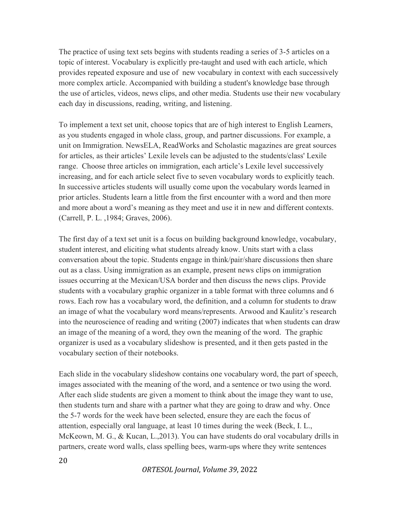The practice of using text sets begins with students reading a series of 3-5 articles on a topic of interest. Vocabulary is explicitly pre-taught and used with each article, which provides repeated exposure and use of new vocabulary in context with each successively more complex article. Accompanied with building a student's knowledge base through the use of articles, videos, news clips, and other media. Students use their new vocabulary each day in discussions, reading, writing, and listening.

To implement a text set unit, choose topics that are of high interest to English Learners, as you students engaged in whole class, group, and partner discussions. For example, a unit on Immigration. NewsELA, ReadWorks and Scholastic magazines are great sources for articles, as their articles' Lexile levels can be adjusted to the students/class' Lexile range. Choose three articles on immigration, each article's Lexile level successively increasing, and for each article select five to seven vocabulary words to explicitly teach. In successive articles students will usually come upon the vocabulary words learned in prior articles. Students learn a little from the first encounter with a word and then more and more about a word's meaning as they meet and use it in new and different contexts. (Carrell, P. L. ,1984; Graves, 2006).

The first day of a text set unit is a focus on building background knowledge, vocabulary, student interest, and eliciting what students already know. Units start with a class conversation about the topic. Students engage in think/pair/share discussions then share out as a class. Using immigration as an example, present news clips on immigration issues occurring at the Mexican/USA border and then discuss the news clips. Provide students with a vocabulary graphic organizer in a table format with three columns and 6 rows. Each row has a vocabulary word, the definition, and a column for students to draw an image of what the vocabulary word means/represents. Arwood and Kaulitz's research into the neuroscience of reading and writing (2007) indicates that when students can draw an image of the meaning of a word, they own the meaning of the word. The graphic organizer is used as a vocabulary slideshow is presented, and it then gets pasted in the vocabulary section of their notebooks.

Each slide in the vocabulary slideshow contains one vocabulary word, the part of speech, images associated with the meaning of the word, and a sentence or two using the word. After each slide students are given a moment to think about the image they want to use, then students turn and share with a partner what they are going to draw and why. Once the 5-7 words for the week have been selected, ensure they are each the focus of attention, especially oral language, at least 10 times during the week (Beck, I. L., McKeown, M. G., & Kucan, L.,2013). You can have students do oral vocabulary drills in partners, create word walls, class spelling bees, warm-ups where they write sentences

ORTESOL Journal, Volume 39, 2022

20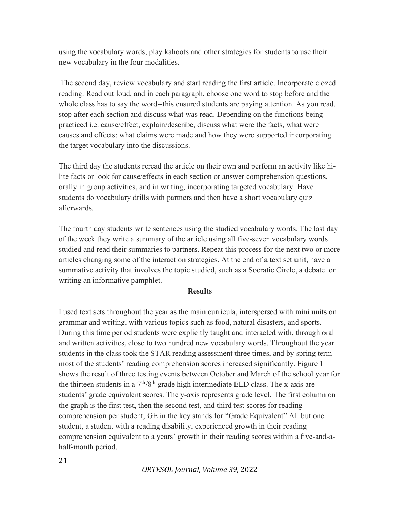using the vocabulary words, play kahoots and other strategies for students to use their new vocabulary in the four modalities.

 The second day, review vocabulary and start reading the first article. Incorporate clozed reading. Read out loud, and in each paragraph, choose one word to stop before and the whole class has to say the word--this ensured students are paying attention. As you read, stop after each section and discuss what was read. Depending on the functions being practiced i.e. cause/effect, explain/describe, discuss what were the facts, what were causes and effects; what claims were made and how they were supported incorporating the target vocabulary into the discussions.

The third day the students reread the article on their own and perform an activity like hilite facts or look for cause/effects in each section or answer comprehension questions, orally in group activities, and in writing, incorporating targeted vocabulary. Have students do vocabulary drills with partners and then have a short vocabulary quiz afterwards.

The fourth day students write sentences using the studied vocabulary words. The last day of the week they write a summary of the article using all five-seven vocabulary words studied and read their summaries to partners. Repeat this process for the next two or more articles changing some of the interaction strategies. At the end of a text set unit, have a summative activity that involves the topic studied, such as a Socratic Circle, a debate. or writing an informative pamphlet.

### **Results**

I used text sets throughout the year as the main curricula, interspersed with mini units on grammar and writing, with various topics such as food, natural disasters, and sports. During this time period students were explicitly taught and interacted with, through oral and written activities, close to two hundred new vocabulary words. Throughout the year students in the class took the STAR reading assessment three times, and by spring term most of the students' reading comprehension scores increased significantly. Figure 1 shows the result of three testing events between October and March of the school year for the thirteen students in a  $7<sup>th</sup>/8<sup>th</sup>$  grade high intermediate ELD class. The x-axis are students' grade equivalent scores. The y-axis represents grade level. The first column on the graph is the first test, then the second test, and third test scores for reading comprehension per student; GE in the key stands for "Grade Equivalent" All but one student, a student with a reading disability, experienced growth in their reading comprehension equivalent to a years' growth in their reading scores within a five-and-ahalf-month period.

21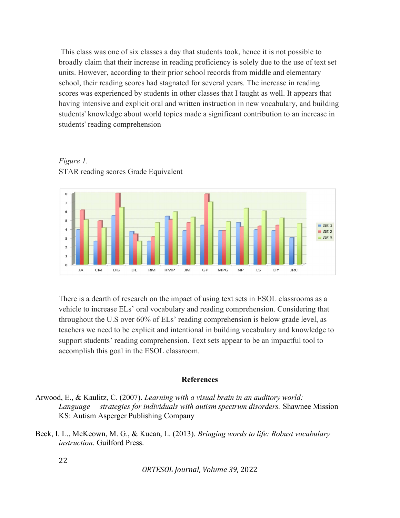This class was one of six classes a day that students took, hence it is not possible to broadly claim that their increase in reading proficiency is solely due to the use of text set units. However, according to their prior school records from middle and elementary school, their reading scores had stagnated for several years. The increase in reading scores was experienced by students in other classes that I taught as well. It appears that having intensive and explicit oral and written instruction in new vocabulary, and building students' knowledge about world topics made a significant contribution to an increase in students' reading comprehension



Figure 1. STAR reading scores Grade Equivalent

There is a dearth of research on the impact of using text sets in ESOL classrooms as a vehicle to increase ELs' oral vocabulary and reading comprehension. Considering that throughout the U.S over 60% of ELs' reading comprehension is below grade level, as teachers we need to be explicit and intentional in building vocabulary and knowledge to support students' reading comprehension. Text sets appear to be an impactful tool to accomplish this goal in the ESOL classroom.

#### References

- Arwood, E., & Kaulitz, C. (2007). Learning with a visual brain in an auditory world: Language strategies for individuals with autism spectrum disorders. Shawnee Mission KS: Autism Asperger Publishing Company
- Beck, I. L., McKeown, M. G., & Kucan, L. (2013). Bringing words to life: Robust vocabulary instruction. Guilford Press.

22

ORTESOL Journal, Volume 39, 2022